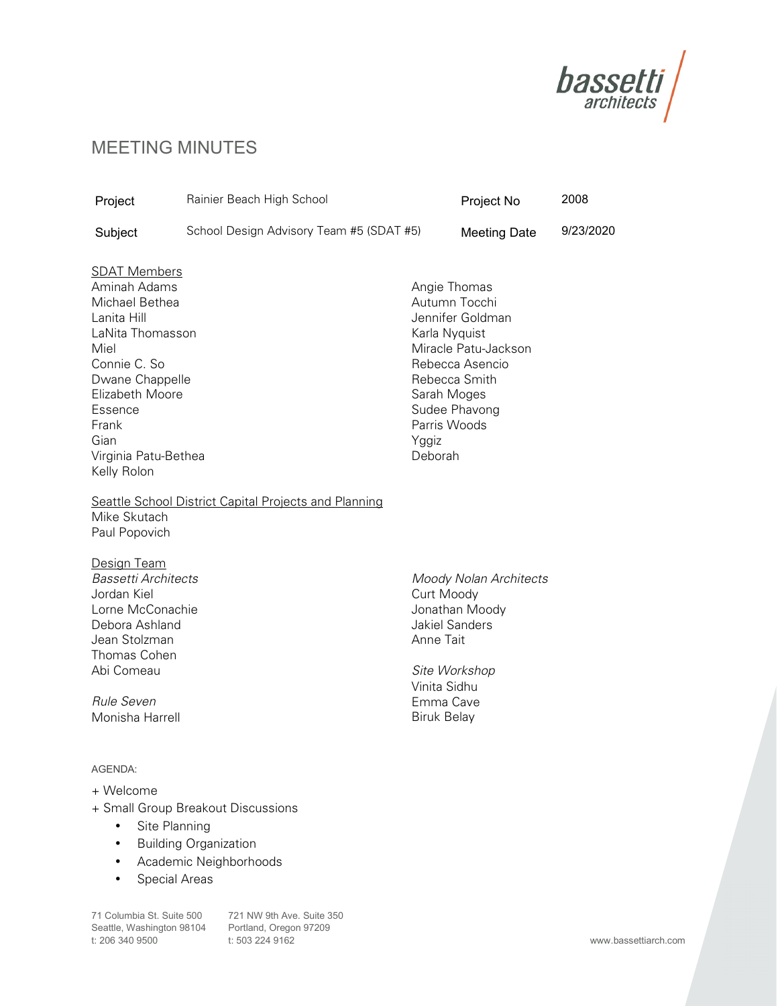

## MEETING MINUTES

| Project                                                                                                                                                                                                                   | Rainier Beach High School                |                                                                                                                      | Project No                                                                   | 2008      |
|---------------------------------------------------------------------------------------------------------------------------------------------------------------------------------------------------------------------------|------------------------------------------|----------------------------------------------------------------------------------------------------------------------|------------------------------------------------------------------------------|-----------|
| Subject                                                                                                                                                                                                                   | School Design Advisory Team #5 (SDAT #5) |                                                                                                                      | <b>Meeting Date</b>                                                          | 9/23/2020 |
| <b>SDAT Members</b><br>Aminah Adams<br>Michael Bethea<br>Lanita Hill<br>LaNita Thomasson<br>Miel<br>Connie C. So<br>Dwane Chappelle<br>Elizabeth Moore<br>Essence<br>Frank<br>Gian<br>Virginia Patu-Bethea<br>Kelly Rolon |                                          | Angie Thomas<br>Autumn Tocchi<br>Karla Nyquist<br>Rebecca Smith<br>Sarah Moges<br>Parris Woods<br>Yggiz<br>Deborah   | Jennifer Goldman<br>Miracle Patu-Jackson<br>Rebecca Asencio<br>Sudee Phavong |           |
| Seattle School District Capital Projects and Planning<br>Mike Skutach<br>Paul Popovich                                                                                                                                    |                                          |                                                                                                                      |                                                                              |           |
| Design Team<br><b>Bassetti Architects</b><br>Jordan Kiel<br>Lorne McConachie<br>Debora Ashland<br>Jean Stolzman<br>Thomas Cohen<br>Abi Comeau<br>Rule Seven<br>Monisha Harrell                                            |                                          | Curt Moody<br><b>Jakiel Sanders</b><br>Anne Tait<br>Site Workshop<br>Vinita Sidhu<br>Emma Cave<br><b>Biruk Belay</b> | Moody Nolan Architects<br>Jonathan Moody                                     |           |
| AGENDA:<br>+ Welcome                                                                                                                                                                                                      | + Small Group Breakout Discussions       |                                                                                                                      |                                                                              |           |

- Site Planning
- Building Organization
- Academic Neighborhoods
- Special Areas

Seattle, Washington 98104 Portland, Oregon 97209<br>t: 206 340 9500 t: 503 224 9162 t: 206 340 9500

71 Columbia St. Suite 500 721 NW 9th Ave. Suite 350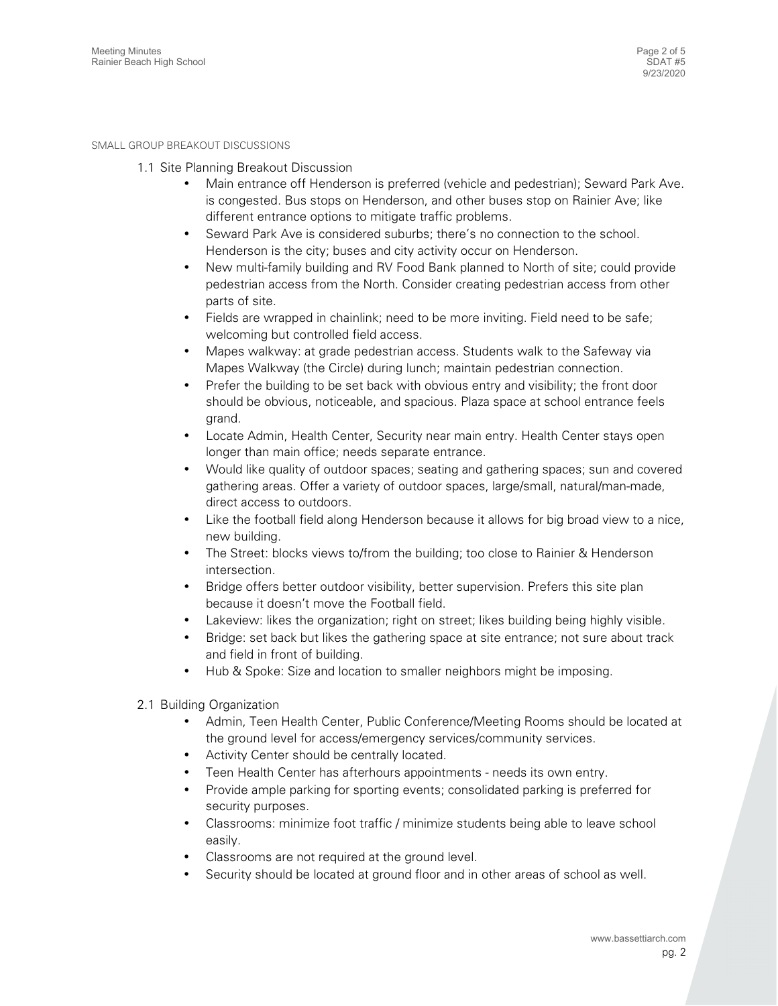## SMALL GROUP BREAKOUT DISCUSSIONS

- 1.1 Site Planning Breakout Discussion
	- Main entrance off Henderson is preferred (vehicle and pedestrian); Seward Park Ave. is congested. Bus stops on Henderson, and other buses stop on Rainier Ave; like different entrance options to mitigate traffic problems.
	- Seward Park Ave is considered suburbs; there's no connection to the school. Henderson is the city; buses and city activity occur on Henderson.
	- New multi-family building and RV Food Bank planned to North of site; could provide pedestrian access from the North. Consider creating pedestrian access from other parts of site.
	- Fields are wrapped in chainlink; need to be more inviting. Field need to be safe; welcoming but controlled field access.
	- Mapes walkway: at grade pedestrian access. Students walk to the Safeway via Mapes Walkway (the Circle) during lunch; maintain pedestrian connection.
	- Prefer the building to be set back with obvious entry and visibility; the front door should be obvious, noticeable, and spacious. Plaza space at school entrance feels grand.
	- Locate Admin, Health Center, Security near main entry. Health Center stays open longer than main office; needs separate entrance.
	- Would like quality of outdoor spaces; seating and gathering spaces; sun and covered gathering areas. Offer a variety of outdoor spaces, large/small, natural/man-made, direct access to outdoors.
	- Like the football field along Henderson because it allows for big broad view to a nice, new building.
	- The Street: blocks views to/from the building; too close to Rainier & Henderson intersection.
	- Bridge offers better outdoor visibility, better supervision. Prefers this site plan because it doesn't move the Football field.
	- Lakeview: likes the organization; right on street; likes building being highly visible.
	- Bridge: set back but likes the gathering space at site entrance; not sure about track and field in front of building.
	- Hub & Spoke: Size and location to smaller neighbors might be imposing.
- 2.1 Building Organization
	- Admin, Teen Health Center, Public Conference/Meeting Rooms should be located at the ground level for access/emergency services/community services.
	- Activity Center should be centrally located.
	- Teen Health Center has afterhours appointments needs its own entry.
	- Provide ample parking for sporting events; consolidated parking is preferred for security purposes.
	- Classrooms: minimize foot traffic / minimize students being able to leave school easily.
	- Classrooms are not required at the ground level.
	- Security should be located at ground floor and in other areas of school as well.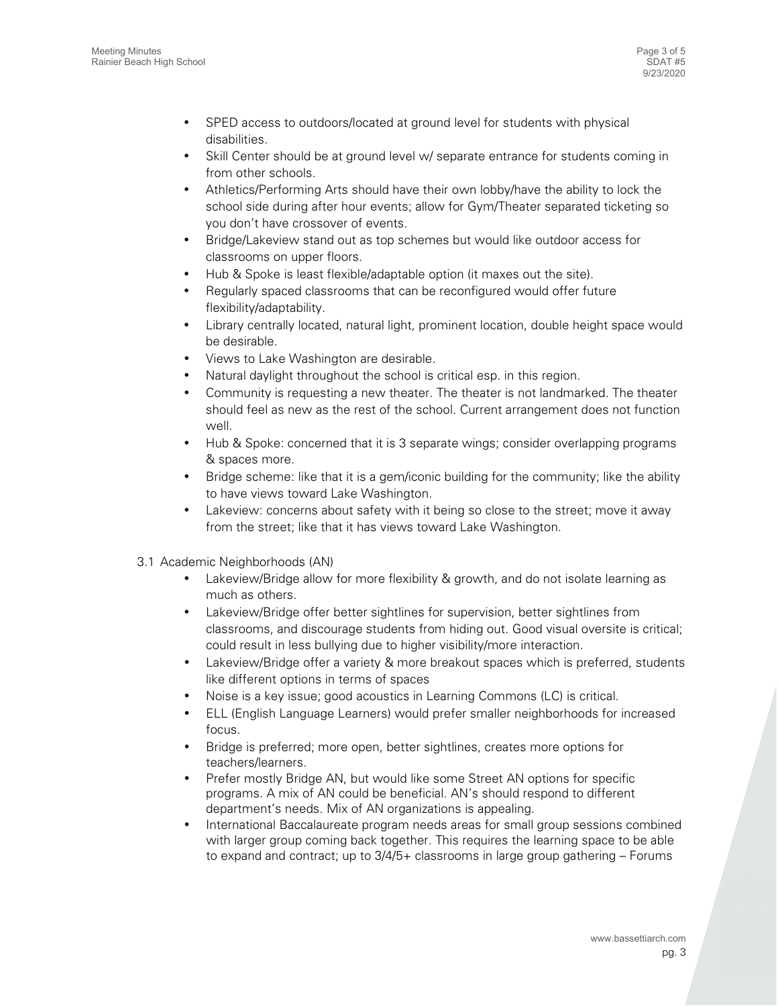- SPED access to outdoors/located at ground level for students with physical disabilities.
- Skill Center should be at ground level w/ separate entrance for students coming in from other schools.
- Athletics/Performing Arts should have their own lobby/have the ability to lock the school side during after hour events; allow for Gym/Theater separated ticketing so you don't have crossover of events.
- Bridge/Lakeview stand out as top schemes but would like outdoor access for classrooms on upper floors.
- Hub & Spoke is least flexible/adaptable option (it maxes out the site).
- Regularly spaced classrooms that can be reconfigured would offer future flexibility/adaptability.
- Library centrally located, natural light, prominent location, double height space would be desirable.
- Views to Lake Washington are desirable.
- Natural daylight throughout the school is critical esp. in this region.
- Community is requesting a new theater. The theater is not landmarked. The theater should feel as new as the rest of the school. Current arrangement does not function well.
- Hub & Spoke: concerned that it is 3 separate wings; consider overlapping programs & spaces more.
- Bridge scheme: like that it is a gem/iconic building for the community; like the ability to have views toward Lake Washington.
- Lakeview: concerns about safety with it being so close to the street; move it away from the street; like that it has views toward Lake Washington.
- 3.1 Academic Neighborhoods (AN)
	- Lakeview/Bridge allow for more flexibility & growth, and do not isolate learning as much as others.
	- Lakeview/Bridge offer better sightlines for supervision, better sightlines from classrooms, and discourage students from hiding out. Good visual oversite is critical; could result in less bullying due to higher visibility/more interaction.
	- Lakeview/Bridge offer a variety & more breakout spaces which is preferred, students like different options in terms of spaces
	- Noise is a key issue; good acoustics in Learning Commons (LC) is critical.
	- ELL (English Language Learners) would prefer smaller neighborhoods for increased focus.
	- Bridge is preferred; more open, better sightlines, creates more options for teachers/learners.
	- Prefer mostly Bridge AN, but would like some Street AN options for specific programs. A mix of AN could be beneficial. AN's should respond to different department's needs. Mix of AN organizations is appealing.
	- International Baccalaureate program needs areas for small group sessions combined with larger group coming back together. This requires the learning space to be able to expand and contract; up to 3/4/5+ classrooms in large group gathering – Forums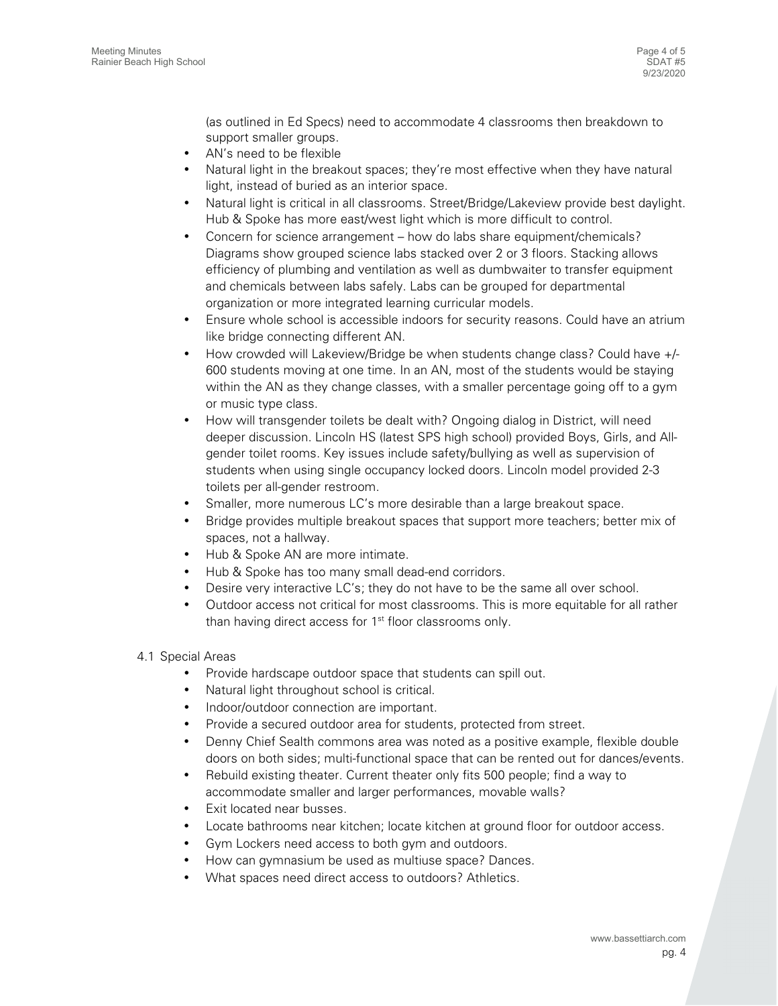(as outlined in Ed Specs) need to accommodate 4 classrooms then breakdown to support smaller groups.

- AN's need to be flexible
- Natural light in the breakout spaces; they're most effective when they have natural light, instead of buried as an interior space.
- Natural light is critical in all classrooms. Street/Bridge/Lakeview provide best daylight. Hub & Spoke has more east/west light which is more difficult to control.
- Concern for science arrangement how do labs share equipment/chemicals? Diagrams show grouped science labs stacked over 2 or 3 floors. Stacking allows efficiency of plumbing and ventilation as well as dumbwaiter to transfer equipment and chemicals between labs safely. Labs can be grouped for departmental organization or more integrated learning curricular models.
- Ensure whole school is accessible indoors for security reasons. Could have an atrium like bridge connecting different AN.
- How crowded will Lakeview/Bridge be when students change class? Could have +/- 600 students moving at one time. In an AN, most of the students would be staying within the AN as they change classes, with a smaller percentage going off to a gym or music type class.
- How will transgender toilets be dealt with? Ongoing dialog in District, will need deeper discussion. Lincoln HS (latest SPS high school) provided Boys, Girls, and Allgender toilet rooms. Key issues include safety/bullying as well as supervision of students when using single occupancy locked doors. Lincoln model provided 2-3 toilets per all-gender restroom.
- Smaller, more numerous LC's more desirable than a large breakout space.
- Bridge provides multiple breakout spaces that support more teachers; better mix of spaces, not a hallway.
- Hub & Spoke AN are more intimate.
- Hub & Spoke has too many small dead-end corridors.
- Desire very interactive LC's; they do not have to be the same all over school.
- Outdoor access not critical for most classrooms. This is more equitable for all rather than having direct access for 1<sup>st</sup> floor classrooms only.
- 4.1 Special Areas
	- Provide hardscape outdoor space that students can spill out.
	- Natural light throughout school is critical.
	- Indoor/outdoor connection are important.
	- Provide a secured outdoor area for students, protected from street.
	- Denny Chief Sealth commons area was noted as a positive example, flexible double doors on both sides; multi-functional space that can be rented out for dances/events.
	- Rebuild existing theater. Current theater only fits 500 people; find a way to accommodate smaller and larger performances, movable walls?
	- Exit located near busses.
	- Locate bathrooms near kitchen; locate kitchen at ground floor for outdoor access.
	- Gym Lockers need access to both gym and outdoors.
	- How can gymnasium be used as multiuse space? Dances.
	- What spaces need direct access to outdoors? Athletics.